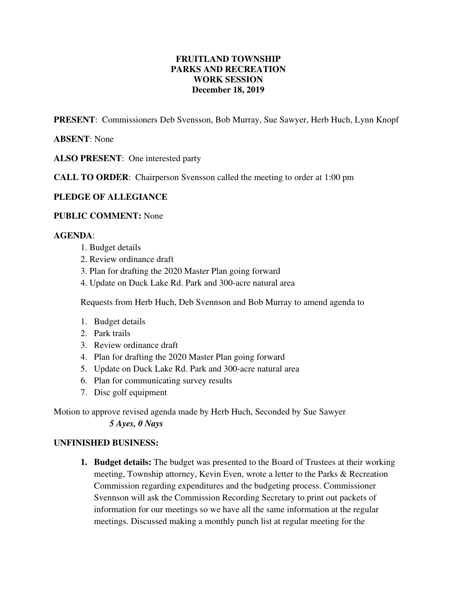# **FRUITLAND TOWNSHIP PARKS AND RECREATION WORK SESSION December 18, 2019**

**PRESENT**: Commissioners Deb Svensson, Bob Murray, Sue Sawyer, Herb Huch, Lynn Knopf

# **ABSENT**: None

**ALSO PRESENT**: One interested party

**CALL TO ORDER**: Chairperson Svensson called the meeting to order at 1:00 pm

### **PLEDGE OF ALLEGIANCE**

### **PUBLIC COMMENT:** None

### **AGENDA**:

- 1. Budget details
- 2. Review ordinance draft
- 3. Plan for drafting the 2020 Master Plan going forward
- 4. Update on Duck Lake Rd. Park and 300-acre natural area

Requests from Herb Huch, Deb Svennson and Bob Murray to amend agenda to

- 1. Budget details
- 2. Park trails
- 3. Review ordinance draft
- 4. Plan for drafting the 2020 Master Plan going forward
- 5. Update on Duck Lake Rd. Park and 300-acre natural area
- 6. Plan for communicating survey results
- 7. Disc golf equipment

Motion to approve revised agenda made by Herb Huch, Seconded by Sue Sawyer *5 Ayes, 0 Nays*

#### **UNFINISHED BUSINESS:**

**1. Budget details:** The budget was presented to the Board of Trustees at their working meeting, Township attorney, Kevin Even, wrote a letter to the Parks & Recreation Commission regarding expenditures and the budgeting process. Commissioner Svennson will ask the Commission Recording Secretary to print out packets of information for our meetings so we have all the same information at the regular meetings. Discussed making a monthly punch list at regular meeting for the